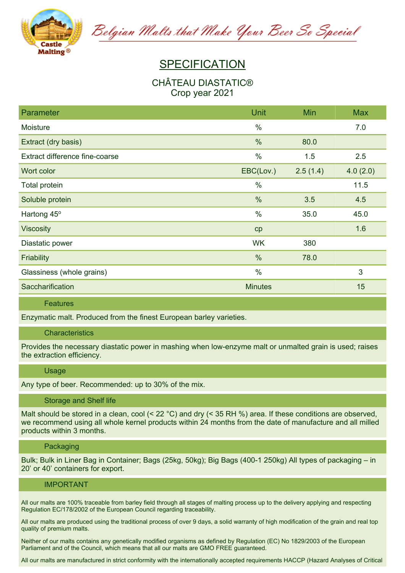

Belgian Malts that Make Your Beer So Special

# **SPECIFICATION**

## **CHÂTEAU DIASTATIC® Crop year 2021**

| Parameter                      | Unit           | Min      | <b>Max</b> |
|--------------------------------|----------------|----------|------------|
| Moisture                       | $\%$           |          | 7.0        |
| Extract (dry basis)            | $\frac{0}{0}$  | 80.0     |            |
| Extract difference fine-coarse | $\%$           | 1.5      | 2.5        |
| Wort color                     | EBC(Lov.)      | 2.5(1.4) | 4.0(2.0)   |
| <b>Total protein</b>           | $\%$           |          | 11.5       |
| Soluble protein                | %              | 3.5      | 4.5        |
| Hartong 45°                    | $\%$           | 35.0     | 45.0       |
| <b>Viscosity</b>               | cp             |          | 1.6        |
| Diastatic power                | <b>WK</b>      | 380      |            |
| Friability                     | %              | 78.0     |            |
| Glassiness (whole grains)      | $\frac{0}{0}$  |          | 3          |
| Saccharification               | <b>Minutes</b> |          | 15         |

### **Features**

**Enzymatic malt. Produced from the finest European barley varieties.**

#### **Characteristics**

**Provides the necessary diastatic power in mashing when low-enzyme malt or unmalted grain is used; raises the extraction efficiency.**

#### **Usage**

**Any type of beer. Recommended: up to 30% of the mix.**

#### **Storage and Shelf life**

Malt should be stored in a clean, cool  $(522 \degree C)$  and dry  $(535 \degree RH)$ %) area. If these conditions are observed. we recommend using all whole kernel products within 24 months from the date of manufacture and all milled **products within 3 months.**

#### **Packaging**

Bulk; Bulk in Liner Bag in Container; Bags (25kg, 50kg); Big Bags (400-1 250kg) All types of packaging – in **20' or 40' containers for export.**

#### **IMPORTANT**

All our malts are 100% traceable from barley field through all stages of malting process up to the delivery applying and respecting **Regulation EC/178/2002 of the European Council regarding traceability.**

All our malts are produced using the traditional process of over 9 days, a solid warranty of high modification of the grain and real top **quality of premium malts.**

Neither of our malts contains any genetically modified organisms as defined by Regulation (EC) No 1829/2003 of the European **Parliament and of the Council, which means that all our malts are GMO FREE guaranteed.**

All our malts are manufactured in strict conformity with the internationally accepted requirements HACCP (Hazard Analyses of Critical